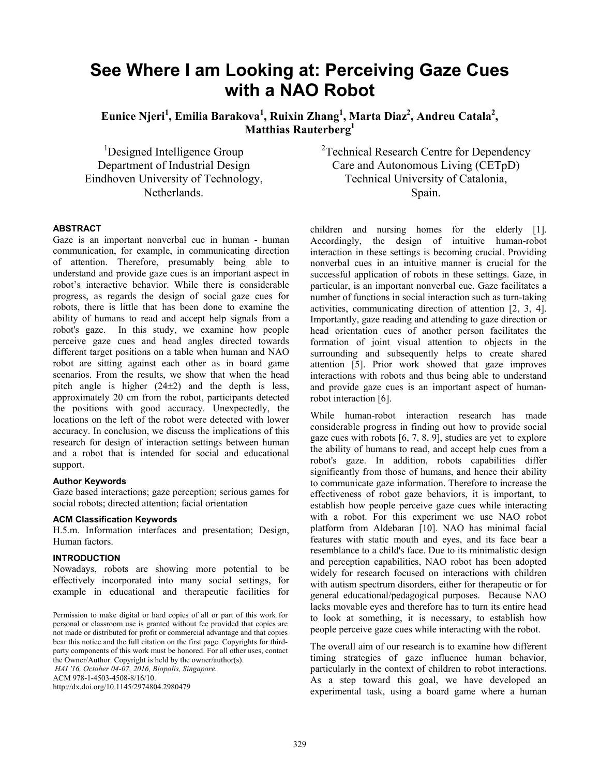# **See Where I am Looking at: Perceiving Gaze Cues with a NAO Robot**

Eunice Njeri<sup>1</sup>, Emilia Barakova<sup>1</sup>, Ruixin Zhang<sup>1</sup>, Marta Diaz<sup>2</sup>, Andreu Catala<sup>2</sup>, **Matthias Rauterberg<sup>1</sup>**

<sup>1</sup>Designed Intelligence Group Department of Industrial Design Eindhoven University of Technology, Netherlands.

 $2$ Technical Research Centre for Dependency Care and Autonomous Living (CETpD) Technical University of Catalonia, Spain.

## **ABSTRACT**

Gaze is an important nonverbal cue in human - human communication, for example, in communicating direction of attention. Therefore, presumably being able to understand and provide gaze cues is an important aspect in robot's interactive behavior. While there is considerable progress, as regards the design of social gaze cues for robots, there is little that has been done to examine the ability of humans to read and accept help signals from a robot's gaze. In this study, we examine how people perceive gaze cues and head angles directed towards different target positions on a table when human and NAO robot are sitting against each other as in board game scenarios. From the results, we show that when the head pitch angle is higher  $(24±2)$  and the depth is less, approximately 20 cm from the robot, participants detected the positions with good accuracy. Unexpectedly, the locations on the left of the robot were detected with lower accuracy. In conclusion, we discuss the implications of this research for design of interaction settings between human and a robot that is intended for social and educational support.

#### **Author Keywords**

Gaze based interactions; gaze perception; serious games for social robots; directed attention; facial orientation

#### **ACM Classification Keywords**

H.5.m. Information interfaces and presentation; Design, Human factors.

### **INTRODUCTION**

Nowadays, robots are showing more potential to be effectively incorporated into many social settings, for example in educational and therapeutic facilities for

ACM 978-1-4503-4508-8/16/10.

http://dx.doi.org/10.1145/2974804.2980479

children and nursing homes for the elderly [1]. Accordingly, the design of intuitive human-robot interaction in these settings is becoming crucial. Providing nonverbal cues in an intuitive manner is crucial for the successful application of robots in these settings. Gaze, in particular, is an important nonverbal cue. Gaze facilitates a number of functions in social interaction such as turn-taking activities, communicating direction of attention [2, 3, 4]. Importantly, gaze reading and attending to gaze direction or head orientation cues of another person facilitates the formation of joint visual attention to objects in the surrounding and subsequently helps to create shared attention [5]. Prior work showed that gaze improves interactions with robots and thus being able to understand and provide gaze cues is an important aspect of humanrobot interaction [6].

While human-robot interaction research has made considerable progress in finding out how to provide social gaze cues with robots  $[6, 7, 8, 9]$ , studies are yet to explore the ability of humans to read, and accept help cues from a robot's gaze. In addition, robots capabilities differ significantly from those of humans, and hence their ability to communicate gaze information. Therefore to increase the effectiveness of robot gaze behaviors, it is important, to establish how people perceive gaze cues while interacting with a robot. For this experiment we use NAO robot platform from Aldebaran [10]. NAO has minimal facial features with static mouth and eyes, and its face bear a resemblance to a child's face. Due to its minimalistic design and perception capabilities, NAO robot has been adopted widely for research focused on interactions with children with autism spectrum disorders, either for therapeutic or for general educational/pedagogical purposes. Because NAO lacks movable eyes and therefore has to turn its entire head to look at something, it is necessary, to establish how people perceive gaze cues while interacting with the robot.

The overall aim of our research is to examine how different timing strategies of gaze influence human behavior, particularly in the context of children to robot interactions. As a step toward this goal, we have developed an experimental task, using a board game where a human

Permission to make digital or hard copies of all or part of this work for personal or classroom use is granted without fee provided that copies are not made or distributed for profit or commercial advantage and that copies bear this notice and the full citation on the first page. Copyrights for thirdparty components of this work must be honored. For all other uses, contact the Owner/Author. Copyright is held by the owner/author(s). *HAI '16, October 04-07, 2016, Biopolis, Singapore.*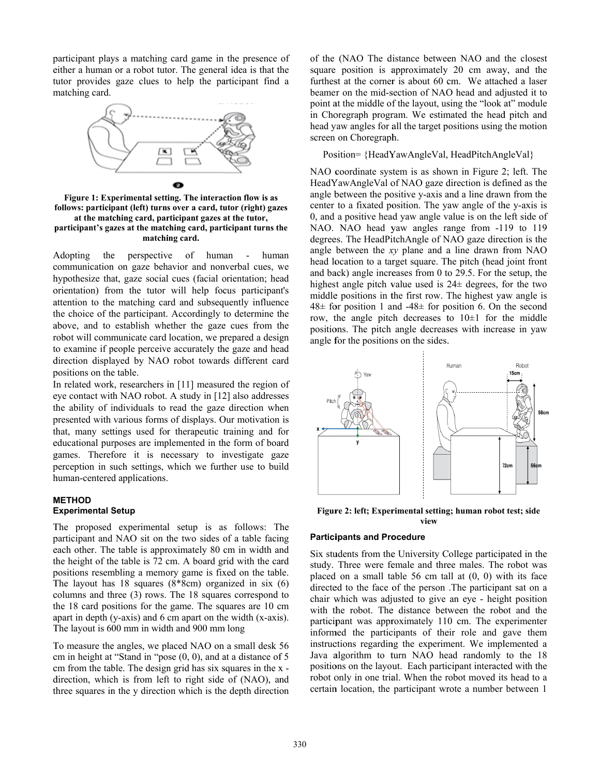participant plays a matching card game in the presence of either a human or a robot tutor. The general idea is that the tutor provides gaze clues to help the participant find a m matching card.



follows: participant (left) turns over a card, tutor (right) gazes participant's gazes at the matching card, participant turns the **Figure 1: Experimental setting. The interaction flow is as** at the matching card, participant gazes at the tutor, **matchi ing card.**

A Adopting the communication on gaze behavior and nonverbal cues, we hypothesize that, gaze social cues (facial orientation; head orientation) from the tutor will help focus participant's attention to the matching card and subsequently influence the choice of the participant. Accordingly to determine the above, and to establish whether the gaze cues from the robot will communicate card location, we prepared a design to examine if people perceive accurately the gaze and head direction displayed by NAO robot towards different card positions on the table. e perspectiv e of hum an - huma an

In related work, researchers in [11] measured the region of eye contact with NAO robot. A study in [12] also addresses the ability of individuals to read the gaze direction when presented with various forms of displays. Our motivation is that, many settings used for therapeutic training and for educational purposes are implemented in the form of board games. Therefore it is necessary to investigate gaze perception in such settings, which we further use to build h human-centered d applications.

## **M METHOD Experimental Setup**

The proposed experimental setup is as follows: The participant and NAO sit on the two sides of a table facing each other. The table is approximately 80 cm in width and the height of the table is 72 cm. A board grid with the card positions resembling a memory game is fixed on the table. The layout has  $18$  squares  $(8*8cm)$  organized in six  $(6)$ columns and three (3) rows. The 18 squares correspond to the 18 card positions for the game. The squares are 10 cm apart in depth (y-axis) and  $6 \text{ cm}$  apart on the width (x-axis). The layout is 600 mm in width and 900 mm long

To measure the angles, we placed NAO on a small desk 56 cm in height at "Stand in "pose (0, 0), and at a distance of 5 cm from the table. The design grid has six squares in the x direction, which is from left to right side of (NAO), and three squares in the y direction which is the depth direction of the (NAO The distance between NAO and the closest square position is approximately 20 cm away, and the furthest at the corner is about 60 cm. We attached a laser beamer on the mid-section of NAO head and adjusted it to point at the middle of the layout, using the "look at" module in Choregraph program. We estimated the head pitch and head yaw angles for all the target positions using the motion screen on Choregraph.

Position= {HeadYawAngleVal, HeadPitchAngleVal}

NAO coordinate system is as shown in Figure 2; left. The HeadYawAngleVal of NAO gaze direction is defined as the angle between the positive y-axis and a line drawn from the center to a fixated position. The yaw angle of the y-axis is 0, and a positive head yaw angle value is on the left side of NAO. NAO head yaw angles range from -119 to 119 degrees. The HeadPitchAngle of NAO gaze direction is the angle between the xy plane and a line drawn from NAO head location to a target square. The pitch (head joint front and back) angle increases from 0 to 29.5. For the setup, the highest angle pitch value used is  $24\pm$  degrees, for the two middle positions in the first row. The highest yaw angle is  $48\pm$  for position 1 and  $-48\pm$  for position 6. On the second row, the angle pitch decreases to  $10 \pm 1$  for the middle positions. The pitch angle decreases with increase in yaw angle for the positions on the sides.



**Figure 2: left; Experimental setting; human robot test; side view** 

## **Participants and Procedure**

Six students from the University College participated in the study. Three were female and three males. The robot was placed on a small table  $56$  cm tall at  $(0, 0)$  with its face directed to the face of the person .The participant sat on a chair which was adjusted to give an eye - height position with the robot. The distance between the robot and the participant was approximately 110 cm. The experimenter informed the participants of their role and gave them instructions regarding the experiment. We implemented a Java algorithm to turn NAO head randomly to the 18 positions on the layout. Each participant interacted with the robot only in one trial. When the robot moved its head to a certain location, the participant wrote a number between 1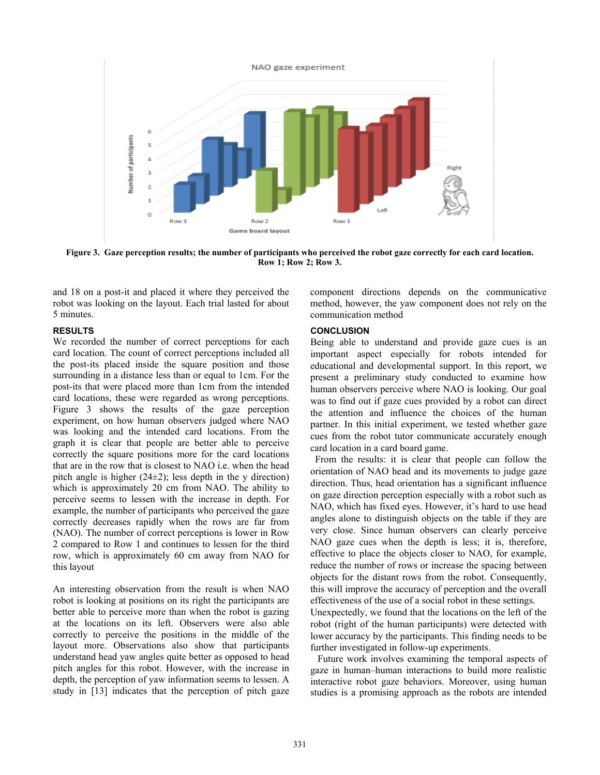

**Figure 3. Gaze perception results; the number of participants who perceived the robot gaze correctly for each card location. Row 1; Row 2; Row 3.** 

and 18 on a post-it and placed it where they perceived the robot was looking on the layout. Each trial lasted for about 5 minutes.

## **RESULTS**

We recorded the number of correct perceptions for each card location. The count of correct perceptions included all the post-its placed inside the square position and those surrounding in a distance less than or equal to 1cm. For the post-its that were placed more than 1cm from the intended card locations, these were regarded as wrong perceptions. Figure 3 shows the results of the gaze perception experiment, on how human observers judged where NAO was looking and the intended card locations. From the graph it is clear that people are better able to perceive correctly the square positions more for the card locations that are in the row that is closest to NAO i.e. when the head pitch angle is higher (24±2); less depth in the y direction) which is approximately 20 cm from NAO. The ability to perceive seems to lessen with the increase in depth. For example, the number of participants who perceived the gaze correctly decreases rapidly when the rows are far from (NAO). The number of correct perceptions is lower in Row 2 compared to Row 1 and continues to lessen for the third row, which is approximately 60 cm away from NAO for this layout

An interesting observation from the result is when NAO robot is looking at positions on its right the participants are better able to perceive more than when the robot is gazing at the locations on its left. Observers were also able correctly to perceive the positions in the middle of the layout more. Observations also show that participants understand head yaw angles quite better as opposed to head pitch angles for this robot. However, with the increase in depth, the perception of yaw information seems to lessen. A study in [13] indicates that the perception of pitch gaze

component directions depends on the communicative method, however, the yaw component does not rely on the communication method

## **CONCLUSION**

Being able to understand and provide gaze cues is an important aspect especially for robots intended for educational and developmental support. In this report, we present a preliminary study conducted to examine how human observers perceive where NAO is looking. Our goal was to find out if gaze cues provided by a robot can direct the attention and influence the choices of the human partner. In this initial experiment, we tested whether gaze cues from the robot tutor communicate accurately enough card location in a card board game.

 From the results: it is clear that people can follow the orientation of NAO head and its movements to judge gaze direction. Thus, head orientation has a significant influence on gaze direction perception especially with a robot such as NAO, which has fixed eyes. However, it's hard to use head angles alone to distinguish objects on the table if they are very close. Since human observers can clearly perceive NAO gaze cues when the depth is less; it is, therefore, effective to place the objects closer to NAO, for example, reduce the number of rows or increase the spacing between objects for the distant rows from the robot. Consequently, this will improve the accuracy of perception and the overall effectiveness of the use of a social robot in these settings.

Unexpectedly, we found that the locations on the left of the robot (right of the human participants) were detected with lower accuracy by the participants. This finding needs to be further investigated in follow-up experiments.

 Future work involves examining the temporal aspects of gaze in human–human interactions to build more realistic interactive robot gaze behaviors. Moreover, using human studies is a promising approach as the robots are intended